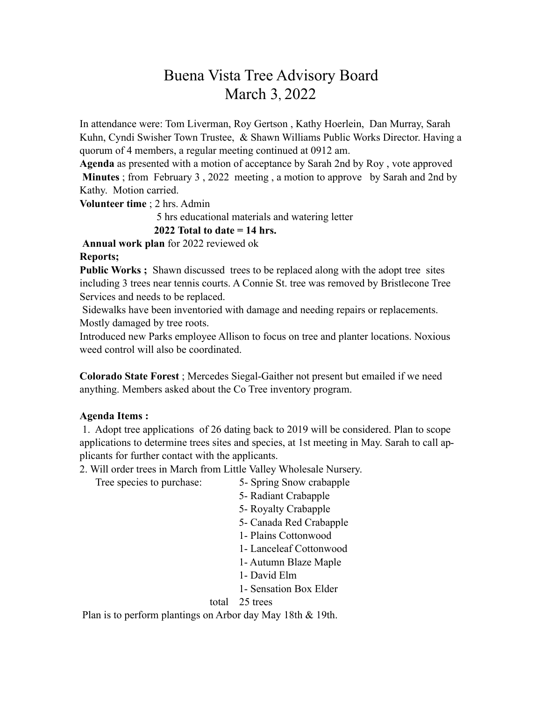## Buena Vista Tree Advisory Board March 3, 2022

In attendance were: Tom Liverman, Roy Gertson , Kathy Hoerlein, Dan Murray, Sarah Kuhn, Cyndi Swisher Town Trustee, & Shawn Williams Public Works Director. Having a quorum of 4 members, a regular meeting continued at 0912 am.

**Agenda** as presented with a motion of acceptance by Sarah 2nd by Roy , vote approved **Minutes** ; from February 3 , 2022 meeting , a motion to approve by Sarah and 2nd by Kathy. Motion carried.

**Volunteer time** ; 2 hrs. Admin

5 hrs educational materials and watering letter

**2022 Total to date = 14 hrs.** 

**Annual work plan** for 2022 reviewed ok

## **Reports;**

**Public Works ;** Shawn discussed trees to be replaced along with the adopt tree sites including 3 trees near tennis courts. A Connie St. tree was removed by Bristlecone Tree Services and needs to be replaced.

 Sidewalks have been inventoried with damage and needing repairs or replacements. Mostly damaged by tree roots.

Introduced new Parks employee Allison to focus on tree and planter locations. Noxious weed control will also be coordinated.

**Colorado State Forest** ; Mercedes Siegal-Gaither not present but emailed if we need anything. Members asked about the Co Tree inventory program.

## **Agenda Items :**

1. Adopt tree applications of 26 dating back to 2019 will be considered. Plan to scope applications to determine trees sites and species, at 1st meeting in May. Sarah to call applicants for further contact with the applicants.

2. Will order trees in March from Little Valley Wholesale Nursery.

Tree species to purchase: 5- Spring Snow crabapple

5- Radiant Crabapple

5- Royalty Crabapple

5- Canada Red Crabapple

1- Plains Cottonwood

1- Lanceleaf Cottonwood

1- Autumn Blaze Maple

1- David Elm

1- Sensation Box Elder

total 25 trees

Plan is to perform plantings on Arbor day May 18th & 19th.